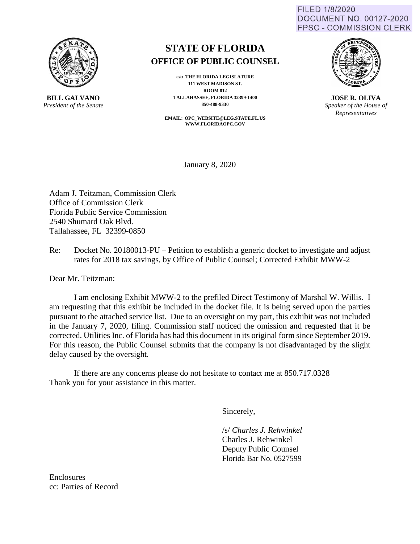FILED 1/8/2020 **DOCUMENT NO. 00127-2020 FPSC - COMMISSION CLERK** 



**BILL GALVANO** *President of the Senate*

## **STATE OF FLORIDA OFFICE OF PUBLIC COUNSEL**

**C/O THE FLORIDA LEGISLATURE 111 WEST MADISON ST. ROOM 812 TALLAHASSEE, FLORIDA 32399-1400 850-488-9330** 

**EMAIL: OPC\_WEBSITE@LEG.STATE.FL.US WWW.FLORIDAOPC.GOV**



**JOSE R. OLIVA** *Speaker of the House of Representatives*

January 8, 2020

Adam J. Teitzman, Commission Clerk Office of Commission Clerk Florida Public Service Commission 2540 Shumard Oak Blvd. Tallahassee, FL 32399-0850

Re: Docket No. 20180013-PU – Petition to establish a generic docket to investigate and adjust rates for 2018 tax savings, by Office of Public Counsel; Corrected Exhibit MWW-2

Dear Mr. Teitzman:

I am enclosing Exhibit MWW-2 to the prefiled Direct Testimony of Marshal W. Willis. I am requesting that this exhibit be included in the docket file. It is being served upon the parties pursuant to the attached service list. Due to an oversight on my part, this exhibit was not included in the January 7, 2020, filing. Commission staff noticed the omission and requested that it be corrected. Utilities Inc. of Florida has had this document in its original form since September 2019. For this reason, the Public Counsel submits that the company is not disadvantaged by the slight delay caused by the oversight.

If there are any concerns please do not hesitate to contact me at 850.717.0328 Thank you for your assistance in this matter.

Sincerely,

/s/ *Charles J. Rehwinkel*

 Charles J. Rehwinkel Deputy Public Counsel Florida Bar No. 0527599

Enclosures cc: Parties of Record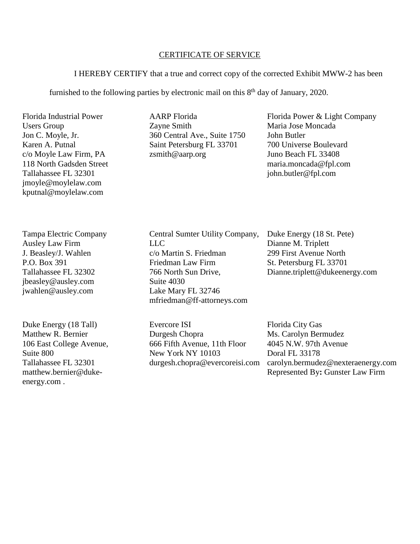## CERTIFICATE OF SERVICE

## I HEREBY CERTIFY that a true and correct copy of the corrected Exhibit MWW-2 has been

furnished to the following parties by electronic mail on this  $8<sup>th</sup>$  day of January, 2020.

Florida Industrial Power Users Group Jon C. Moyle, Jr. Karen A. Putnal c/o Moyle Law Firm, PA 118 North Gadsden Street Tallahassee FL 32301 jmoyle@moylelaw.com kputnal@moylelaw.com

Tampa Electric Company Ausley Law Firm J. Beasley/J. Wahlen P.O. Box 391 Tallahassee FL 32302 jbeasley@ausley.com jwahlen@ausley.com

Duke Energy (18 Tall) Matthew R. Bernier 106 East College Avenue, Suite 800 Tallahassee FL 32301 matthew.bernier@dukeenergy.com .

AARP Florida Zayne Smith 360 Central Ave., Suite 1750 Saint Petersburg FL 33701 zsmith@aarp.org

Florida Power & Light Company Maria Jose Moncada John Butler 700 Universe Boulevard Juno Beach FL 33408 maria.moncada@fpl.com john.butler@fpl.com

Central Sumter Utility Company,  $LI$ c/o Martin S. Friedman Friedman Law Firm 766 North Sun Drive, Suite 4030 Lake Mary FL 32746 mfriedman@ff-attorneys.com

Evercore ISI Durgesh Chopra 666 Fifth Avenue, 11th Floor New York NY 10103 durgesh.chopra@evercoreisi.com Duke Energy (18 St. Pete) Dianne M. Triplett 299 First Avenue North St. Petersburg FL 33701 Dianne.triplett@dukeenergy.com

Florida City Gas Ms. Carolyn Bermudez 4045 N.W. 97th Avenue Doral FL 33178 carolyn.bermudez@nexteraenergy.com Represented By**:** Gunster Law Firm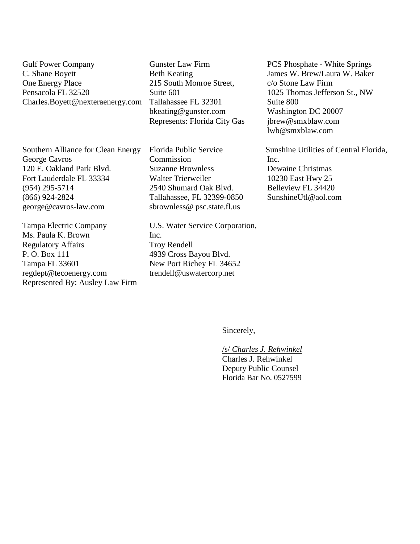Gulf Power Company C. Shane Boyett One Energy Place Pensacola FL 32520 Charles.Boyett@nexteraenergy.com

Southern Alliance for Clean Energy George Cavros 120 E. Oakland Park Blvd. Fort Lauderdale FL 33334 (954) 295-5714 (866) 924-2824 [george@cavros-law.com](mailto:george@cavros-law.com)

Tampa Electric Company Ms. Paula K. Brown Regulatory Affairs P. O. Box 111 Tampa FL 33601 regdept@tecoenergy.com Represented By: Ausley Law Firm

Gunster Law Firm Beth Keating 215 South Monroe Street, Suite 601 Tallahassee FL 32301 bkeating@gunster.com Represents: Florida City Gas

Florida Public Service Commission Suzanne Brownless Walter Trierweiler 2540 Shumard Oak Blvd. Tallahassee, FL 32399-0850 sbrownless@ psc.state.fl.us

U.S. Water Service Corporation, Inc. Troy Rendell 4939 Cross Bayou Blvd. New Port Richey FL 34652 trendell@uswatercorp.net

PCS Phosphate - White Springs James W. Brew/Laura W. Baker c/o Stone Law Firm 1025 Thomas Jefferson St., NW Suite 800 Washington DC 20007 jbrew@smxblaw.com lwb@smxblaw.com

Sunshine Utilities of Central Florida, Inc. Dewaine Christmas 10230 East Hwy 25 Belleview FL 34420 SunshineUtl@aol.com

Sincerely,

/s/ *Charles J. Rehwinkel* Charles J. Rehwinkel Deputy Public Counsel Florida Bar No. 0527599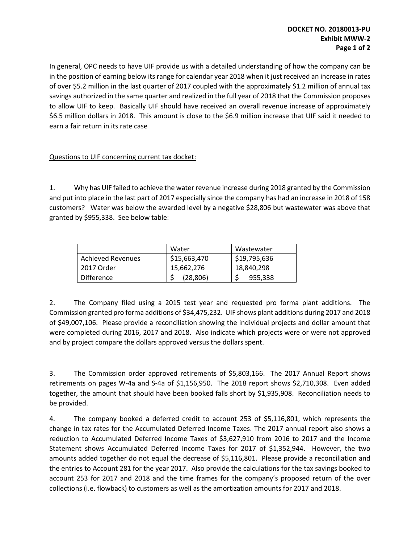In general, OPC needs to have UIF provide us with a detailed understanding of how the company can be in the position of earning below its range for calendar year 2018 when it just received an increase in rates of over \$5.2 million in the last quarter of 2017 coupled with the approximately \$1.2 million of annual tax savings authorized in the same quarter and realized in the full year of 2018 that the Commission proposes to allow UIF to keep. Basically UIF should have received an overall revenue increase of approximately \$6.5 million dollars in 2018. This amount is close to the \$6.9 million increase that UIF said it needed to earn a fair return in its rate case

## Questions to UIF concerning current tax docket:

1. Why has UIF failed to achieve the water revenue increase during 2018 granted by the Commission and put into place in the last part of 2017 especially since the company has had an increase in 2018 of 158 customers? Water was below the awarded level by a negative \$28,806 but wastewater was above that granted by \$955,338. See below table:

|                   | Water        | Wastewater   |
|-------------------|--------------|--------------|
| Achieved Revenues | \$15,663,470 | \$19,795,636 |
| 2017 Order        | 15,662,276   | 18,840,298   |
| <b>Difference</b> | (28, 806)    | 955,338      |

2. The Company filed using a 2015 test year and requested pro forma plant additions. The Commission granted pro forma additions of \$34,475,232. UIF shows plant additions during 2017 and 2018 of \$49,007,106. Please provide a reconciliation showing the individual projects and dollar amount that were completed during 2016, 2017 and 2018. Also indicate which projects were or were not approved and by project compare the dollars approved versus the dollars spent.

3. The Commission order approved retirements of \$5,803,166. The 2017 Annual Report shows retirements on pages W-4a and S-4a of \$1,156,950. The 2018 report shows \$2,710,308. Even added together, the amount that should have been booked falls short by \$1,935,908. Reconciliation needs to be provided.

4. The company booked a deferred credit to account 253 of \$5,116,801, which represents the change in tax rates for the Accumulated Deferred Income Taxes. The 2017 annual report also shows a reduction to Accumulated Deferred Income Taxes of \$3,627,910 from 2016 to 2017 and the Income Statement shows Accumulated Deferred Income Taxes for 2017 of \$1,352,944. However, the two amounts added together do not equal the decrease of \$5,116,801. Please provide a reconciliation and the entries to Account 281 for the year 2017. Also provide the calculations for the tax savings booked to account 253 for 2017 and 2018 and the time frames for the company's proposed return of the over collections (i.e. flowback) to customers as well as the amortization amounts for 2017 and 2018.